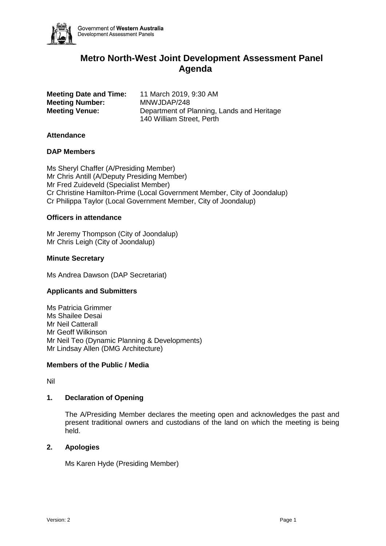

# **Metro North-West Joint Development Assessment Panel Agenda**

**Meeting Number:** MNWJDAP/248

**Meeting Date and Time:** 11 March 2019, 9:30 AM **Meeting Venue:** Department of Planning, Lands and Heritage 140 William Street, Perth

# **Attendance**

# **DAP Members**

Ms Sheryl Chaffer (A/Presiding Member) Mr Chris Antill (A/Deputy Presiding Member) Mr Fred Zuideveld (Specialist Member) Cr Christine Hamilton-Prime (Local Government Member, City of Joondalup) Cr Philippa Taylor (Local Government Member, City of Joondalup)

# **Officers in attendance**

Mr Jeremy Thompson (City of Joondalup) Mr Chris Leigh (City of Joondalup)

# **Minute Secretary**

Ms Andrea Dawson (DAP Secretariat)

# **Applicants and Submitters**

Ms Patricia Grimmer Ms Shailee Desai Mr Neil Catterall Mr Geoff Wilkinson Mr Neil Teo (Dynamic Planning & Developments) Mr Lindsay Allen (DMG Architecture)

# **Members of the Public / Media**

Nil

# **1. Declaration of Opening**

The A/Presiding Member declares the meeting open and acknowledges the past and present traditional owners and custodians of the land on which the meeting is being held.

# **2. Apologies**

Ms Karen Hyde (Presiding Member)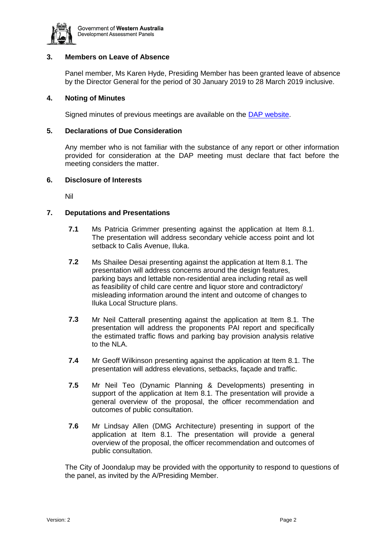

# **3. Members on Leave of Absence**

Panel member, Ms Karen Hyde, Presiding Member has been granted leave of absence by the Director General for the period of 30 January 2019 to 28 March 2019 inclusive.

# **4. Noting of Minutes**

Signed minutes of previous meetings are available on the [DAP website.](https://www.dplh.wa.gov.au/about/development-assessment-panels/daps-agendas-and-minutes)

# **5. Declarations of Due Consideration**

Any member who is not familiar with the substance of any report or other information provided for consideration at the DAP meeting must declare that fact before the meeting considers the matter.

#### **6. Disclosure of Interests**

Nil

# **7. Deputations and Presentations**

- **7.1** Ms Patricia Grimmer presenting against the application at Item 8.1. The presentation will address secondary vehicle access point and lot setback to Calis Avenue, Iluka.
- **7.2** Ms Shailee Desai presenting against the application at Item 8.1. The presentation will address concerns around the design features, parking bays and lettable non-residential area including retail as well as feasibility of child care centre and liquor store and contradictory/ misleading information around the intent and outcome of changes to Iluka Local Structure plans.
- **7.3** Mr Neil Catterall presenting against the application at Item 8.1. The presentation will address the proponents PAI report and specifically the estimated traffic flows and parking bay provision analysis relative to the NLA.
- **7.4** Mr Geoff Wilkinson presenting against the application at Item 8.1. The presentation will address elevations, setbacks, façade and traffic.
- **7.5** Mr Neil Teo (Dynamic Planning & Developments) presenting in support of the application at Item 8.1. The presentation will provide a general overview of the proposal, the officer recommendation and outcomes of public consultation.
- **7.6** Mr Lindsay Allen (DMG Architecture) presenting in support of the application at Item 8.1. The presentation will provide a general overview of the proposal, the officer recommendation and outcomes of public consultation.

The City of Joondalup may be provided with the opportunity to respond to questions of the panel, as invited by the A/Presiding Member.